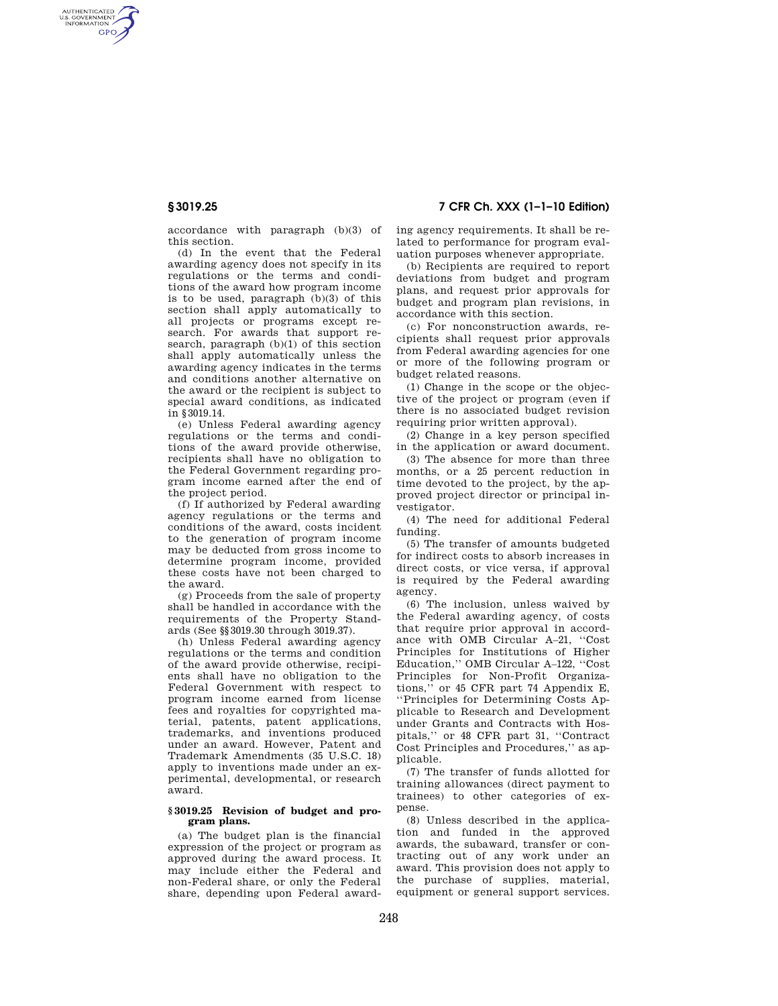AUTHENTICATED<br>U.S. GOVERNMENT<br>INFORMATION **GPO** 

**§ 3019.25 7 CFR Ch. XXX (1–1–10 Edition)** 

accordance with paragraph (b)(3) of this section.

(d) In the event that the Federal awarding agency does not specify in its regulations or the terms and conditions of the award how program income is to be used, paragraph (b)(3) of this section shall apply automatically to all projects or programs except research. For awards that support research, paragraph (b)(1) of this section shall apply automatically unless the awarding agency indicates in the terms and conditions another alternative on the award or the recipient is subject to special award conditions, as indicated in §3019.14.

(e) Unless Federal awarding agency regulations or the terms and conditions of the award provide otherwise, recipients shall have no obligation to the Federal Government regarding program income earned after the end of the project period.

(f) If authorized by Federal awarding agency regulations or the terms and conditions of the award, costs incident to the generation of program income may be deducted from gross income to determine program income, provided these costs have not been charged to the award.

(g) Proceeds from the sale of property shall be handled in accordance with the requirements of the Property Standards (See §§3019.30 through 3019.37).

(h) Unless Federal awarding agency regulations or the terms and condition of the award provide otherwise, recipients shall have no obligation to the Federal Government with respect to program income earned from license fees and royalties for copyrighted material, patents, patent applications, trademarks, and inventions produced under an award. However, Patent and Trademark Amendments (35 U.S.C. 18) apply to inventions made under an experimental, developmental, or research award.

### **§ 3019.25 Revision of budget and program plans.**

(a) The budget plan is the financial expression of the project or program as approved during the award process. It may include either the Federal and non-Federal share, or only the Federal share, depending upon Federal awarding agency requirements. It shall be related to performance for program evaluation purposes whenever appropriate.

(b) Recipients are required to report deviations from budget and program plans, and request prior approvals for budget and program plan revisions, in accordance with this section.

(c) For nonconstruction awards, recipients shall request prior approvals from Federal awarding agencies for one or more of the following program or budget related reasons.

(1) Change in the scope or the objective of the project or program (even if there is no associated budget revision requiring prior written approval).

(2) Change in a key person specified in the application or award document.

(3) The absence for more than three months, or a 25 percent reduction in time devoted to the project, by the approved project director or principal investigator.

(4) The need for additional Federal funding.

(5) The transfer of amounts budgeted for indirect costs to absorb increases in direct costs, or vice versa, if approval is required by the Federal awarding agency.

(6) The inclusion, unless waived by the Federal awarding agency, of costs that require prior approval in accordance with OMB Circular A–21, ''Cost Principles for Institutions of Higher Education,'' OMB Circular A–122, ''Cost Principles for Non-Profit Organizations,'' or 45 CFR part 74 Appendix E, ''Principles for Determining Costs Applicable to Research and Development under Grants and Contracts with Hospitals,'' or 48 CFR part 31, ''Contract Cost Principles and Procedures,'' as applicable.

(7) The transfer of funds allotted for training allowances (direct payment to trainees) to other categories of expense.

(8) Unless described in the application and funded in the approved awards, the subaward, transfer or contracting out of any work under an award. This provision does not apply to the purchase of supplies, material, equipment or general support services.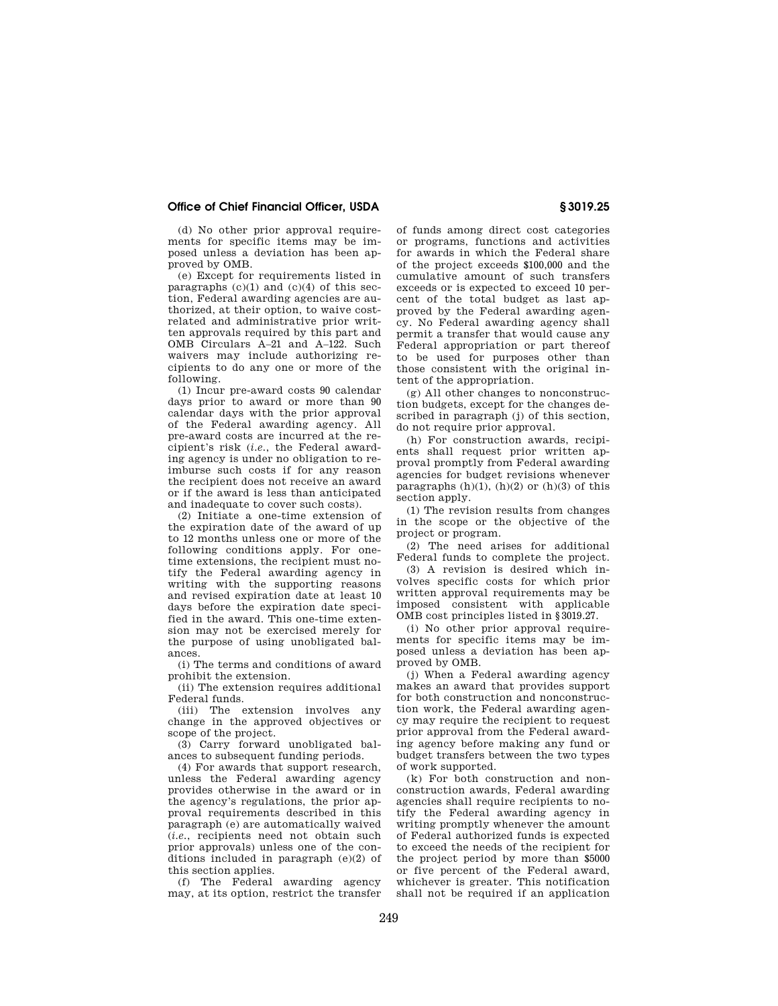# **Office of Chief Financial Officer, USDA § 3019.25**

(d) No other prior approval requirements for specific items may be imposed unless a deviation has been approved by OMB.

(e) Except for requirements listed in paragraphs  $(c)(1)$  and  $(c)(4)$  of this section, Federal awarding agencies are authorized, at their option, to waive costrelated and administrative prior written approvals required by this part and OMB Circulars A–21 and A–122. Such waivers may include authorizing recipients to do any one or more of the following.

(1) Incur pre-award costs 90 calendar days prior to award or more than 90 calendar days with the prior approval of the Federal awarding agency. All pre-award costs are incurred at the recipient's risk (*i.e.*, the Federal awarding agency is under no obligation to reimburse such costs if for any reason the recipient does not receive an award or if the award is less than anticipated and inadequate to cover such costs).

(2) Initiate a one-time extension of the expiration date of the award of up to 12 months unless one or more of the following conditions apply. For onetime extensions, the recipient must notify the Federal awarding agency in writing with the supporting reasons and revised expiration date at least 10 days before the expiration date specified in the award. This one-time extension may not be exercised merely for the purpose of using unobligated balances.

(i) The terms and conditions of award prohibit the extension.

(ii) The extension requires additional Federal funds.

(iii) The extension involves any change in the approved objectives or scope of the project.

(3) Carry forward unobligated balances to subsequent funding periods.

(4) For awards that support research, unless the Federal awarding agency provides otherwise in the award or in the agency's regulations, the prior approval requirements described in this paragraph (e) are automatically waived (*i.e.*, recipients need not obtain such prior approvals) unless one of the conditions included in paragraph (e)(2) of this section applies.

(f) The Federal awarding agency may, at its option, restrict the transfer

of funds among direct cost categories or programs, functions and activities for awards in which the Federal share of the project exceeds \$100,000 and the cumulative amount of such transfers exceeds or is expected to exceed 10 percent of the total budget as last approved by the Federal awarding agency. No Federal awarding agency shall permit a transfer that would cause any Federal appropriation or part thereof to be used for purposes other than those consistent with the original intent of the appropriation.

(g) All other changes to nonconstruction budgets, except for the changes described in paragraph (j) of this section, do not require prior approval.

(h) For construction awards, recipients shall request prior written approval promptly from Federal awarding agencies for budget revisions whenever paragraphs  $(h)(1)$ ,  $(h)(2)$  or  $(h)(3)$  of this section apply.

(1) The revision results from changes in the scope or the objective of the project or program.

(2) The need arises for additional Federal funds to complete the project.

(3) A revision is desired which involves specific costs for which prior written approval requirements may be imposed consistent with applicable OMB cost principles listed in §3019.27.

(i) No other prior approval requirements for specific items may be imposed unless a deviation has been approved by OMB.

(j) When a Federal awarding agency makes an award that provides support for both construction and nonconstruction work, the Federal awarding agency may require the recipient to request prior approval from the Federal awarding agency before making any fund or budget transfers between the two types of work supported.

(k) For both construction and nonconstruction awards, Federal awarding agencies shall require recipients to notify the Federal awarding agency in writing promptly whenever the amount of Federal authorized funds is expected to exceed the needs of the recipient for the project period by more than \$5000 or five percent of the Federal award, whichever is greater. This notification shall not be required if an application